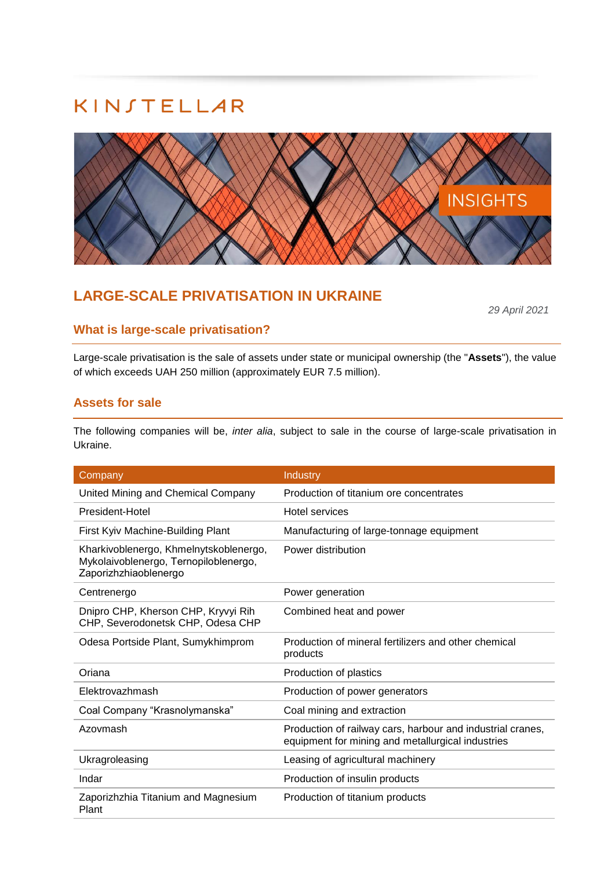

# **LARGE-SCALE PRIVATISATION IN UKRAINE**

*29 April 2021*

## **What is large-scale privatisation?**

Large-scale privatisation is the sale of assets under state or municipal ownership (the "**Assets**"), the value of which exceeds UAH 250 million (approximately EUR 7.5 million).

### **Assets for sale**

The following companies will be, *inter alia*, subject to sale in the course of large-scale privatisation in Ukraine.

| Company                                                                                                  | Industry                                                                                                        |
|----------------------------------------------------------------------------------------------------------|-----------------------------------------------------------------------------------------------------------------|
| United Mining and Chemical Company                                                                       | Production of titanium ore concentrates                                                                         |
| President-Hotel                                                                                          | Hotel services                                                                                                  |
| First Kyiv Machine-Building Plant                                                                        | Manufacturing of large-tonnage equipment                                                                        |
| Kharkivoblenergo, Khmelnytskoblenergo,<br>Mykolaivoblenergo, Ternopiloblenergo,<br>Zaporizhzhiaoblenergo | Power distribution                                                                                              |
| Centrenergo                                                                                              | Power generation                                                                                                |
| Dnipro CHP, Kherson CHP, Kryvyi Rih<br>CHP, Severodonetsk CHP, Odesa CHP                                 | Combined heat and power                                                                                         |
| Odesa Portside Plant, Sumykhimprom                                                                       | Production of mineral fertilizers and other chemical<br>products                                                |
| Oriana                                                                                                   | Production of plastics                                                                                          |
| Elektrovazhmash                                                                                          | Production of power generators                                                                                  |
| Coal Company "Krasnolymanska"                                                                            | Coal mining and extraction                                                                                      |
| Azovmash                                                                                                 | Production of railway cars, harbour and industrial cranes,<br>equipment for mining and metallurgical industries |
| Ukragroleasing                                                                                           | Leasing of agricultural machinery                                                                               |
| Indar                                                                                                    | Production of insulin products                                                                                  |
| Zaporizhzhia Titanium and Magnesium<br>Plant                                                             | Production of titanium products                                                                                 |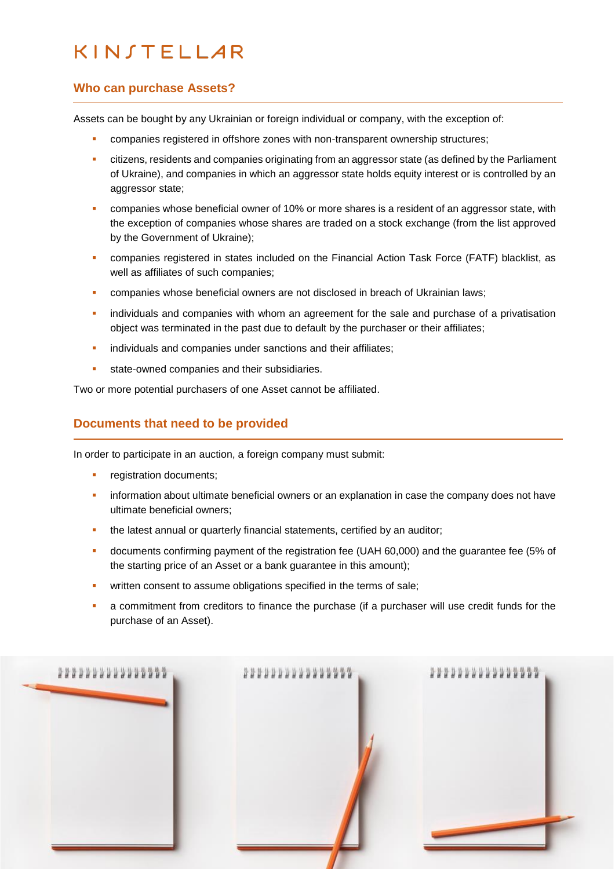### **Who can purchase Assets?**

Assets can be bought by any Ukrainian or foreign individual or company, with the exception of:

- companies registered in offshore zones with non-transparent ownership structures;
- **•** citizens, residents and companies originating from an aggressor state (as defined by the Parliament of Ukraine), and companies in which an aggressor state holds equity interest or is controlled by an aggressor state;
- companies whose beneficial owner of 10% or more shares is a resident of an aggressor state, with the exception of companies whose shares are traded on a stock exchange (from the list approved by the Government of Ukraine);
- companies registered in states included on the Financial Action Task Force (FATF) blacklist, as well as affiliates of such companies;
- **•** companies whose beneficial owners are not disclosed in breach of Ukrainian laws:
- **•** individuals and companies with whom an agreement for the sale and purchase of a privatisation object was terminated in the past due to default by the purchaser or their affiliates;
- **·** individuals and companies under sanctions and their affiliates;
- **EXECUTE:** state-owned companies and their subsidiaries.

Two or more potential purchasers of one Asset cannot be affiliated.

### **Documents that need to be provided**

In order to participate in an auction, a foreign company must submit:

- registration documents;
- **•** information about ultimate beneficial owners or an explanation in case the company does not have ultimate beneficial owners;
- **EXECT** the latest annual or quarterly financial statements, certified by an auditor;
- documents confirming payment of the registration fee (UAH 60,000) and the guarantee fee (5% of the starting price of an Asset or a bank guarantee in this amount);
- **•** written consent to assume obligations specified in the terms of sale;
- a commitment from creditors to finance the purchase (if a purchaser will use credit funds for the purchase of an Asset).

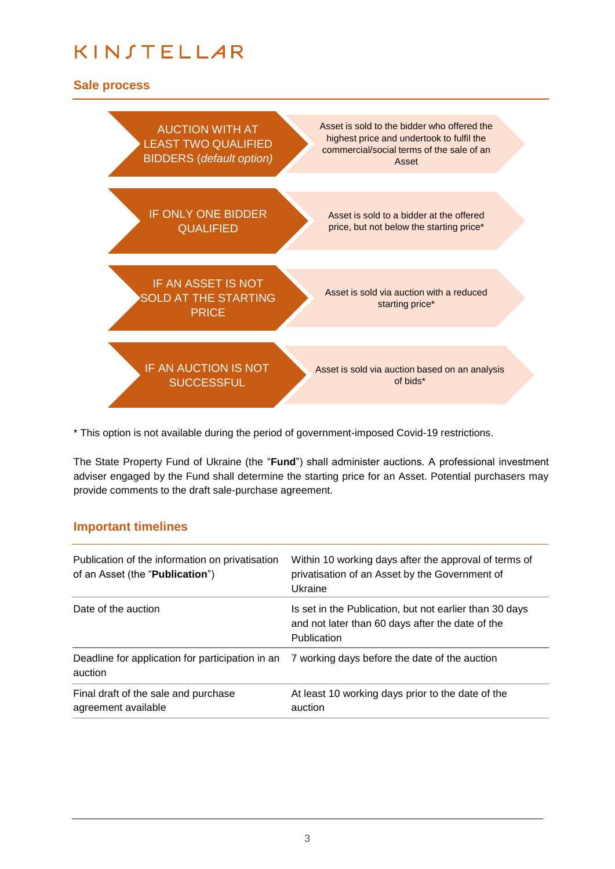## **Sale process**



\* This option is not available during the period of government-imposed Covid-19 restrictions.

The State Property Fund of Ukraine (the "**Fund**") shall administer auctions. A professional investment adviser engaged by the Fund shall determine the starting price for an Asset. Potential purchasers may provide comments to the draft sale-purchase agreement.

### **Important timelines**

| Publication of the information on privatisation<br>of an Asset (the "Publication") | Within 10 working days after the approval of terms of<br>privatisation of an Asset by the Government of<br>Ukraine         |
|------------------------------------------------------------------------------------|----------------------------------------------------------------------------------------------------------------------------|
| Date of the auction                                                                | Is set in the Publication, but not earlier than 30 days<br>and not later than 60 days after the date of the<br>Publication |
| Deadline for application for participation in an<br>auction                        | 7 working days before the date of the auction                                                                              |
| Final draft of the sale and purchase<br>agreement available                        | At least 10 working days prior to the date of the<br>auction                                                               |